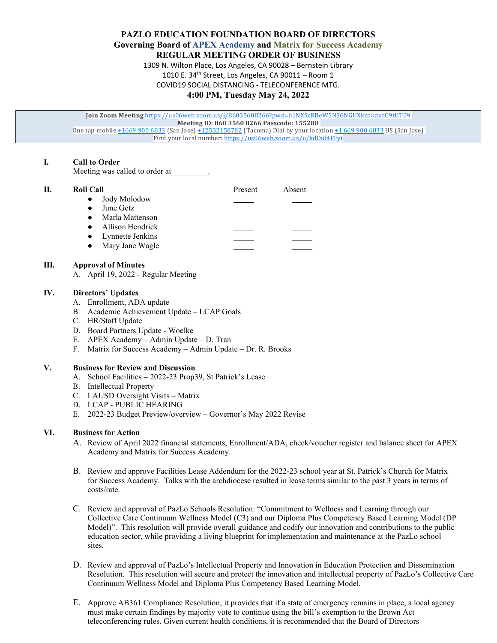**PAZLO EDUCATION FOUNDATION BOARD OF DIRECTORS Governing Board of APEX Academy and Matrix for Success Academy REGULAR MEETING ORDER OF BUSINESS**

> 1309 N. Wilton Place, Los Angeles, CA 90028 – Bernstein Library 1010 E. 34th Street, Los Angeles, CA 90011 – Room 1

COVID19 SOCIAL DISTANCING - TELECONFERENCE MTG.

# **4:00 PM, Tuesday May 24, 2022**

**Join Zoom Meeting** <https://us06web.zoom.us/j/86035608266?pwd=b1NXSzRBeW5NSGNGUXkzdkdzdC9tUT09> **Meeting ID: 860 3560 8266 Passcode: 155288**  One tap mobil[e +1669](tel:+16699006833) 900 6833 (San Jose[\) +12532158782](tel:+12532158782) (Tacoma) Dial by your locatio[n +1 669 900 6833](tel:+1%20669%20900%206833) US (San Jose) Find your local number[: https://us06web.zoom.us/u/kdDul4FFyi](https://us06web.zoom.us/u/kdDul4FFyi)

# **I. Call to Order**

Meeting was called to order at

| П. | <b>Roll Call</b>             | Present | Absent |
|----|------------------------------|---------|--------|
|    | • Jody Molodow               |         |        |
|    | June Getz<br>$\bullet$       |         |        |
|    | Marla Mattenson<br>$\bullet$ |         |        |
|    | • Allison Hendrick           |         |        |
|    | • Lynnette Jenkins           |         |        |
|    | Mary Jane Wagle<br>$\bullet$ |         |        |
|    |                              |         |        |

## **III. Approval of Minutes**

A. April 19, 2022 - Regular Meeting

### **IV. Directors' Updates**

- A. Enrollment, ADA update
- B. Academic Achievement Update LCAP Goals
- C. HR/Staff Update
- D. Board Partners Update Woelke
- E. APEX Academy Admin Update D. Tran
- F. Matrix for Success Academy Admin Update Dr. R. Brooks

## **V. Business for Review and Discussion**

- A. School Facilities 2022-23 Prop39, St Patrick's Lease
- B. Intellectual Property
- C. LAUSD Oversight Visits Matrix
- D. LCAP PUBLIC HEARING
- E. 2022-23 Budget Preview/overview Governor's May 2022 Revise

# **VI. Business for Action**

- A. Review of April 2022 financial statements, Enrollment/ADA, check/voucher register and balance sheet for APEX Academy and Matrix for Success Academy.
- B. Review and approve Facilities Lease Addendum for the 2022-23 school year at St. Patrick's Church for Matrix for Success Academy. Talks with the archdiocese resulted in lease terms similar to the past 3 years in terms of costs/rate.
- C. Review and approval of PazLo Schools Resolution: "Commitment to Wellness and Learning through our Collective Care Continuum Wellness Model (C3) and our Diploma Plus Competency Based Learning Model (DP Model)". This resolution will provide overall guidance and codify our innovation and contributions to the public education sector, while providing a living blueprint for implementation and maintenance at the PazLo school sites.
- D. Review and approval of PazLo's Intellectual Property and Innovation in Education Protection and Dissemination Resolution. This resolution will secure and protect the innovation and intellectual property of PazLo's Collective Care Continuum Wellness Model and Diploma Plus Competency Based Learning Model.
- E. Approve AB361 Compliance Resolution; it provides that if a state of emergency remains in place, a local agency must make certain findings by majority vote to continue using the bill's exemption to the Brown Act teleconferencing rules. Given current health conditions, it is recommended that the Board of Directors